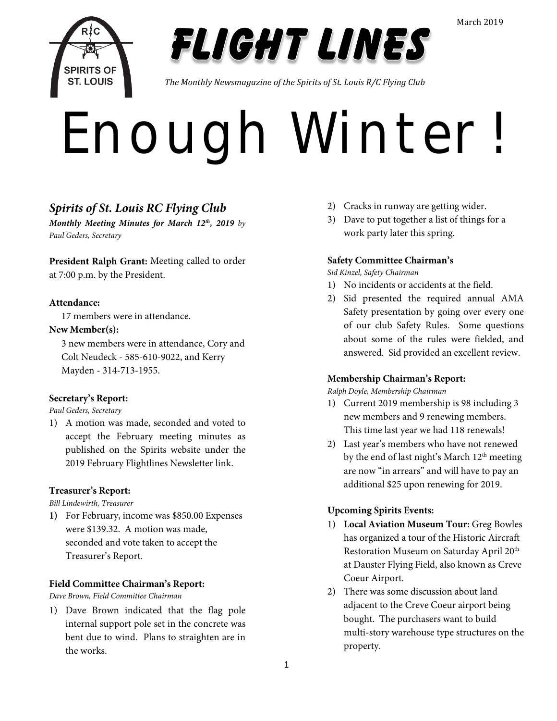



*The Monthly Newsmagazine of the Spirits of St. Louis R/C Flying Club*

# ENOUGH WINTER!

## *Spirits of St. Louis RC Flying Club*

*Monthly Meeting Minutes for March 12th, 2019 by Paul Geders, Secretary*

**President Ralph Grant:** Meeting called to order at 7:00 p.m. by the President.

## **Attendance:**

17 members were in attendance.

## **New Member(s):**

3 new members were in attendance, Cory and Colt Neudeck - 585-610-9022, and Kerry Mayden - 314-713-1955.

## **Secretary's Report:**

*Paul Geders, Secretary*

1) A motion was made, seconded and voted to accept the February meeting minutes as published on the Spirits website under the 2019 February Flightlines Newsletter link.

## **Treasurer's Report:**

*Bill Lindewirth, Treasurer*

**1)** For February, income was \$850.00 Expenses were \$139.32. A motion was made, seconded and vote taken to accept the Treasurer's Report.

## **Field Committee Chairman's Report:**

*Dave Brown, Field Committee Chairman*

1) Dave Brown indicated that the flag pole internal support pole set in the concrete was bent due to wind. Plans to straighten are in the works.

- 2) Cracks in runway are getting wider.
- 3) Dave to put together a list of things for a work party later this spring.

## **Safety Committee Chairman's**

*Sid Kinzel, Safety Chairman*

- 1) No incidents or accidents at the field.
- 2) Sid presented the required annual AMA Safety presentation by going over every one of our club Safety Rules. Some questions about some of the rules were fielded, and answered. Sid provided an excellent review.

## **Membership Chairman's Report:**

*Ralph Doyle, Membership Chairman*

- 1) Current 2019 membership is 98 including 3 new members and 9 renewing members. This time last year we had 118 renewals!
- 2) Last year's members who have not renewed by the end of last night's March 12<sup>th</sup> meeting are now "in arrears" and will have to pay an additional \$25 upon renewing for 2019.

## **Upcoming Spirits Events:**

- 1) **Local Aviation Museum Tour:** Greg Bowles has organized a tour of the Historic Aircraft Restoration Museum on Saturday April 20<sup>th</sup> at Dauster Flying Field, also known as Creve Coeur Airport.
- 2) There was some discussion about land adjacent to the Creve Coeur airport being bought. The purchasers want to build multi-story warehouse type structures on the property.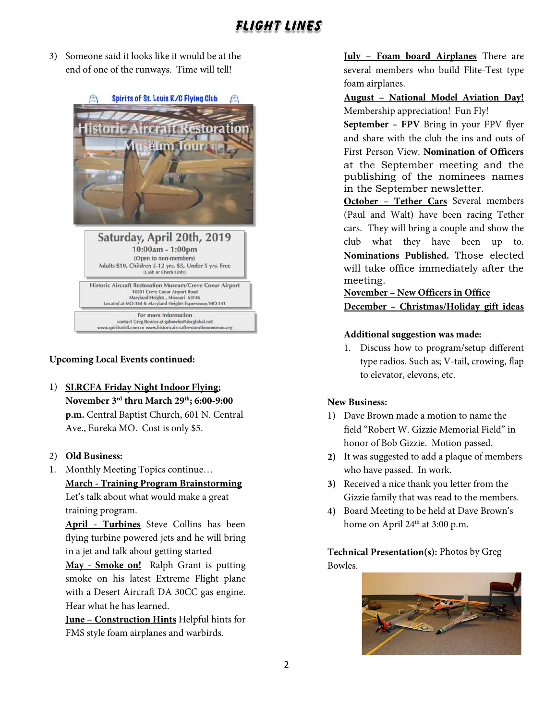3) Someone said it looks like it would be at the end of one of the runways. Time will tell!



## **Upcoming Local Events continued:**

1) **SLRCFA Friday Night Indoor Flying; November 3rd thru March 29th; 6:00-9:00 p.m.** Central Baptist Church, 601 N. Central Ave., Eureka MO. Cost is only \$5.

#### 2) **Old Business:**

1. Monthly Meeting Topics continue… **March - Training Program Brainstorming** Let's talk about what would make a great training program.

**April - Turbines** Steve Collins has been flying turbine powered jets and he will bring in a jet and talk about getting started

**May - Smoke on!** Ralph Grant is putting smoke on his latest Extreme Flight plane with a Desert Aircraft DA 30CC gas engine. Hear what he has learned.

**June** – **Construction Hints** Helpful hints for FMS style foam airplanes and warbirds.

**July – Foam board Airplanes** There are several members who build Flite-Test type foam airplanes.

#### **August – National Model Aviation Day!** Membership appreciation! Fun Fly!

**September – FPV** Bring in your FPV flyer and share with the club the ins and outs of First Person View. **Nomination of Officers** at the September meeting and the publishing of the nominees names in the September newsletter.

**October – Tether Cars** Several members (Paul and Walt) have been racing Tether cars. They will bring a couple and show the club what they have been up to. **Nominations Published.** Those elected will take office immediately after the meeting.

**November – New Officers in Office**

#### **December – Christmas/Holiday gift ideas**

#### **Additional suggestion was made:**

1. Discuss how to program/setup different type radios. Such as; V-tail, crowing, flap to elevator, elevons, etc.

#### **New Business:**

- 1) Dave Brown made a motion to name the field "Robert W. Gizzie Memorial Field" in honor of Bob Gizzie. Motion passed.
- **2)** It was suggested to add a plaque of members who have passed. In work.
- **3)** Received a nice thank you letter from the Gizzie family that was read to the members.
- **4)** Board Meeting to be held at Dave Brown's home on April  $24<sup>th</sup>$  at 3:00 p.m.

**Technical Presentation(s):** Photos by Greg Bowles.

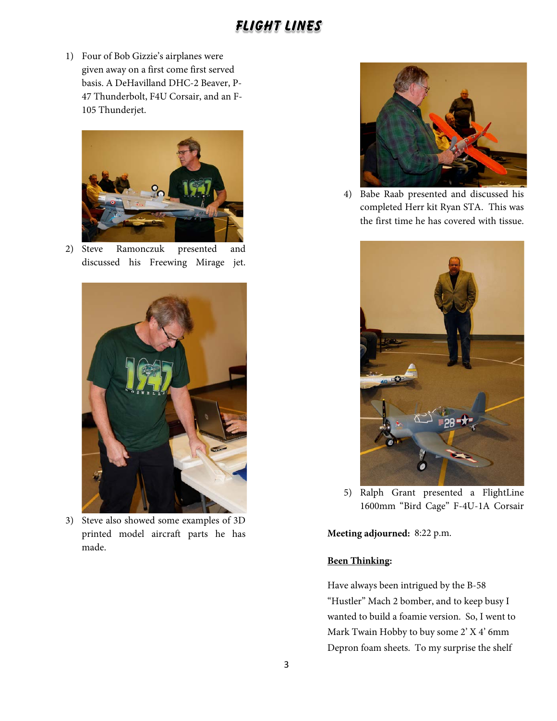1) Four of Bob Gizzie's airplanes were given away on a first come first served basis. A DeHavilland DHC-2 Beaver, P-47 Thunderbolt, F4U Corsair, and an F-105 Thunderjet.



2) Steve Ramonczuk presented and discussed his Freewing Mirage jet.



3) Steve also showed some examples of 3D printed model aircraft parts he has made.



4) Babe Raab presented and discussed his completed Herr kit Ryan STA. This was the first time he has covered with tissue.



5) Ralph Grant presented a FlightLine 1600mm "Bird Cage" F-4U-1A Corsair

**Meeting adjourned:** 8:22 p.m.

## **Been Thinking:**

Have always been intrigued by the B-58 "Hustler" Mach 2 bomber, and to keep busy I wanted to build a foamie version. So, I went to Mark Twain Hobby to buy some 2' X 4' 6mm Depron foam sheets. To my surprise the shelf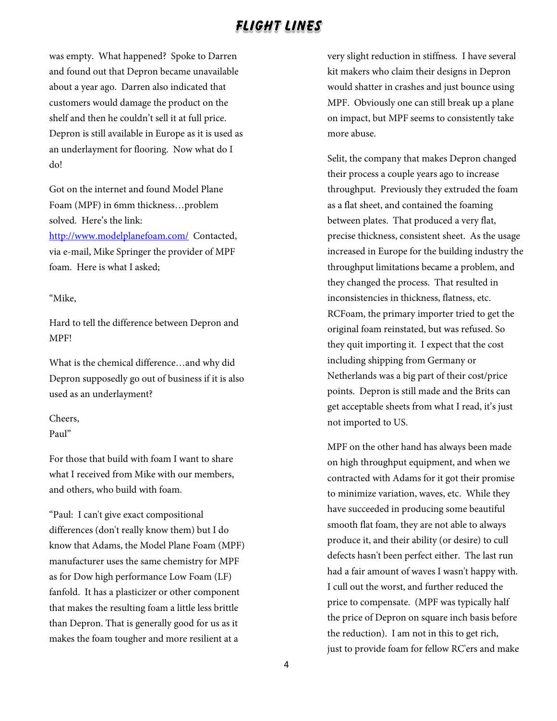was empty. What happened? Spoke to Darren and found out that Depron became unavailable about a year ago. Darren also indicated that customers would damage the product on the shelf and then he couldn't sell it at full price. Depron is still available in Europe as it is used as an underlayment for flooring. Now what do I do!

Got on the internet and found Model Plane Foam (MPF) in 6mm thickness…problem solved. Here's the link: <http://www.modelplanefoam.com/>Contacted, via e-mail, Mike Springer the provider of MPF foam. Here is what I asked;

#### "Mike,

Hard to tell the difference between Depron and MPF!

What is the chemical difference…and why did Depron supposedly go out of business if it is also used as an underlayment?

## Cheers,

Paul"

For those that build with foam I want to share what I received from Mike with our members, and others, who build with foam.

"Paul: I can't give exact compositional differences (don't really know them) but I do know that Adams, the Model Plane Foam (MPF) manufacturer uses the same chemistry for MPF as for Dow high performance Low Foam (LF) fanfold. It has a plasticizer or other component that makes the resulting foam a little less brittle than Depron. That is generally good for us as it makes the foam tougher and more resilient at a

very slight reduction in stiffness. I have several kit makers who claim their designs in Depron would shatter in crashes and just bounce using MPF. Obviously one can still break up a plane on impact, but MPF seems to consistently take more abuse.

Selit, the company that makes Depron changed their process a couple years ago to increase throughput. Previously they extruded the foam as a flat sheet, and contained the foaming between plates. That produced a very flat, precise thickness, consistent sheet. As the usage increased in Europe for the building industry the throughput limitations became a problem, and they changed the process. That resulted in inconsistencies in thickness, flatness, etc. RCFoam, the primary importer tried to get the original foam reinstated, but was refused. So they quit importing it. I expect that the cost including shipping from Germany or Netherlands was a big part of their cost/price points. Depron is still made and the Brits can get acceptable sheets from what I read, it's just not imported to US.

MPF on the other hand has always been made on high throughput equipment, and when we contracted with Adams for it got their promise to minimize variation, waves, etc. While they have succeeded in producing some beautiful smooth flat foam, they are not able to always produce it, and their ability (or desire) to cull defects hasn't been perfect either. The last run had a fair amount of waves I wasn't happy with. I cull out the worst, and further reduced the price to compensate. (MPF was typically half the price of Depron on square inch basis before the reduction). I am not in this to get rich, just to provide foam for fellow RC'ers and make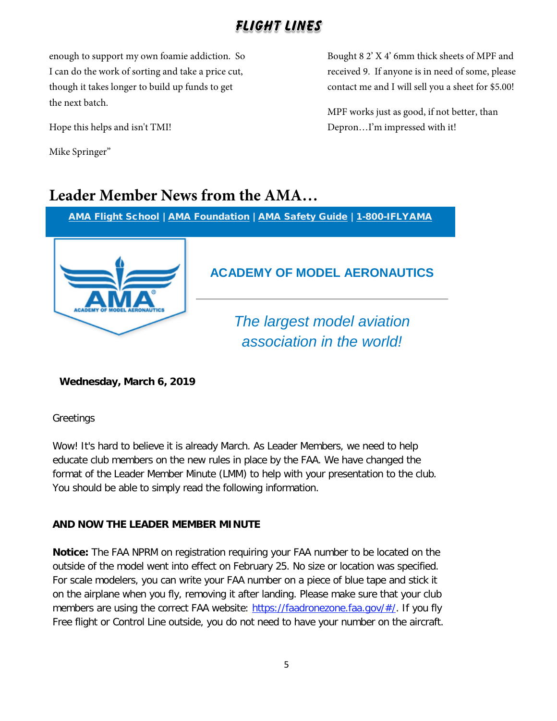enough to support my own foamie addiction. So I can do the work of sorting and take a price cut, though it takes longer to build up funds to get the next batch.

Hope this helps and isn't TMI!

Mike Springer"

Bought 8 2' X 4' 6mm thick sheets of MPF and received 9. If anyone is in need of some, please contact me and I will sell you a sheet for \$5.00!

MPF works just as good, if not better, than Depron…I'm impressed with it!

# **Leader Member News from the AMA…**

[AMA Flight School](http://send.modelaircraft.org/link.cfm?r=R2TDHN5I8cewW0wdxwzH5Q~~&pe=tIB2glPT9YrOdsuv0DvEAbVfV1WeenQeQQihB72fVJ97UQvswlXMmeBzfPCU-KGMHcZUP655-vsS8ssA-_F75Q~~&t=GwwZMr_uxfam6S-EJhzRrg~~) | [AMA Foundation](http://send.modelaircraft.org/link.cfm?r=R2TDHN5I8cewW0wdxwzH5Q~~&pe=GffUpZAwHQh-UJTCi96hN--bp_C4Si9nOUftBvEWPD13fa7PnrHj3HBwU1TgQGoOK_vORJLr1apUQ-yCJ2ayTA~~&t=GwwZMr_uxfam6S-EJhzRrg~~) | [AMA Safety Guide](http://send.modelaircraft.org/link.cfm?r=R2TDHN5I8cewW0wdxwzH5Q~~&pe=C-OfnZ9YZynViUmX4wuAyWDK1x0yR_ubPczfipNTh-7CQ_XxGZQ53b_6cMeHAGLQnBj2S70UwHOQ7OK5x_Fn1A~~&t=GwwZMr_uxfam6S-EJhzRrg~~) | [1-800-IFLYAMA](http://send.modelaircraft.org/link.cfm?r=R2TDHN5I8cewW0wdxwzH5Q~~&pe=aLfyB_uWR1_cEZO6JbIz2qMxwMC2ouiZNTjTbLKWzrVeVxMYs6qvBpJODlUK5bg2esVmkb0a9Njy3OUowDCRRg~~&t=GwwZMr_uxfam6S-EJhzRrg~~)



## **ACADEMY OF MODEL AERONAUTICS**

*The largest model aviation association in the world!*

**Wednesday, March 6, 2019**

**Greetings** 

Wow! It's hard to believe it is already March. As Leader Members, we need to help educate club members on the new rules in place by the FAA. We have changed the format of the Leader Member Minute (LMM) to help with your presentation to the club. You should be able to simply read the following information.

## **AND NOW THE LEADER MEMBER MINUTE**

**Notice:** The FAA NPRM on registration requiring your FAA number to be located on the outside of the model went into effect on February 25. No size or location was specified. For scale modelers, you can write your FAA number on a piece of blue tape and stick it on the airplane when you fly, removing it after landing. Please make sure that your club members are using the correct FAA website: [https://faadronezone.faa.gov/#/.](http://send.modelaircraft.org/link.cfm?r=R2TDHN5I8cewW0wdxwzH5Q~~&pe=iByP9B8mfyc_kXioiPlgzQ_8KOC70f27ZQbQyUA7chpRcTmkDx4nN6HSXSU_wCo2wnUOB6M7z-CkRabynDHSSQ~~&t=GwwZMr_uxfam6S-EJhzRrg~~) If you fly Free flight or Control Line outside, you do not need to have your number on the aircraft.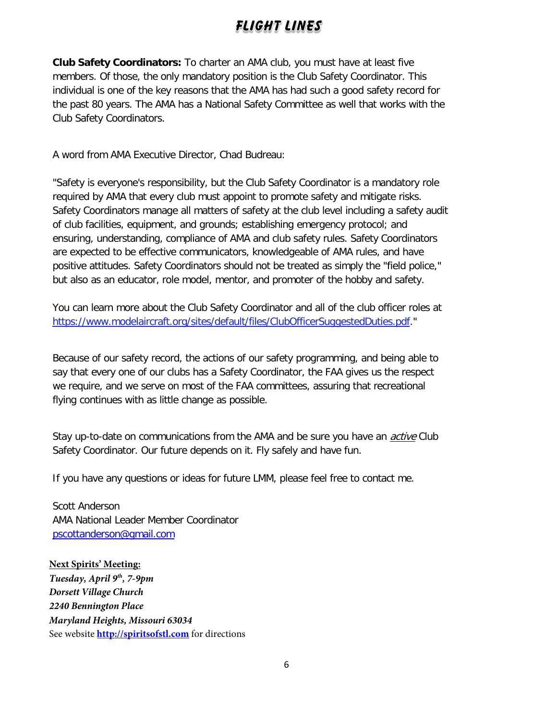**Club Safety Coordinators:** To charter an AMA club, you must have at least five members. Of those, the only mandatory position is the Club Safety Coordinator. This individual is one of the key reasons that the AMA has had such a good safety record for the past 80 years. The AMA has a National Safety Committee as well that works with the Club Safety Coordinators.

A word from AMA Executive Director, Chad Budreau:

"Safety is everyone's responsibility, but the Club Safety Coordinator is a mandatory role required by AMA that every club must appoint to promote safety and mitigate risks. Safety Coordinators manage all matters of safety at the club level including a safety audit of club facilities, equipment, and grounds; establishing emergency protocol; and ensuring, understanding, compliance of AMA and club safety rules. Safety Coordinators are expected to be effective communicators, knowledgeable of AMA rules, and have positive attitudes. Safety Coordinators should not be treated as simply the "field police," but also as an educator, role model, mentor, and promoter of the hobby and safety.

You can learn more about the Club Safety Coordinator and all of the club officer roles at [https://www.modelaircraft.org/sites/default/files/ClubOfficerSuggestedDuties.pdf.](http://send.modelaircraft.org/link.cfm?r=R2TDHN5I8cewW0wdxwzH5Q~~&pe=EptmoSKSLLbCea-gYcHX9rmWrYCayzFZcq-VrVErW8u7n9XXZFLJl_qLXyoUZSplIodGSxNa2b9sSFOlCgY0yA~~&t=GwwZMr_uxfam6S-EJhzRrg~~)"

Because of our safety record, the actions of our safety programming, and being able to say that every one of our clubs has a Safety Coordinator, the FAA gives us the respect we require, and we serve on most of the FAA committees, assuring that recreational flying continues with as little change as possible.

Stay up-to-date on communications from the AMA and be sure you have an *active* Club Safety Coordinator. Our future depends on it. Fly safely and have fun.

If you have any questions or ideas for future LMM, please feel free to contact me.

Scott Anderson AMA National Leader Member Coordinator [pscottanderson@gmail.com](mailto:pscottanderson@gmail.com)

## **Next Spirits' Meeting:**

*Tuesday, April 9th, 7-9pm Dorsett Village Church 2240 Bennington Place Maryland Heights, Missouri 63034* See website **[http://spiritsofstl.com](http://spiritsofstl.com/)** for directions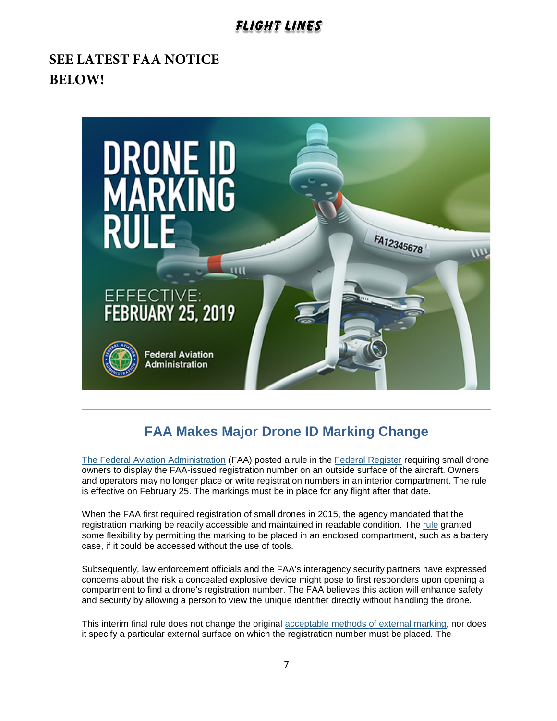# **SEE LATEST FAA NOTICE BELOW!**



## **FAA Makes Major Drone ID Marking Change**

[The Federal Aviation Administration](http://links.govdelivery.com/track?type=click&enid=ZWFzPTEmbXNpZD0mYXVpZD0mbWFpbGluZ2lkPTIwMTkwMjE1LjE4MTkyNDEmbWVzc2FnZWlkPU1EQi1QUkQtQlVMLTIwMTkwMjE1LjE4MTkyNDEmZGF0YWJhc2VpZD0xMDAxJnNlcmlhbD0xNzM2OTQzNSZlbWFpbGlkPXBnZWRlcnNAY2hhcnRlci5uZXQmdXNlcmlkPXBnZWRlcnNAY2hhcnRlci5uZXQmdGFyZ2V0aWQ9JmZsPSZtdmlkPSZleHRyYT0mJiY=&&&100&&&http://www.faa.gov/) (FAA) posted a rule in the [Federal Register](http://links.govdelivery.com/track?type=click&enid=ZWFzPTEmbXNpZD0mYXVpZD0mbWFpbGluZ2lkPTIwMTkwMjE1LjE4MTkyNDEmbWVzc2FnZWlkPU1EQi1QUkQtQlVMLTIwMTkwMjE1LjE4MTkyNDEmZGF0YWJhc2VpZD0xMDAxJnNlcmlhbD0xNzM2OTQzNSZlbWFpbGlkPXBnZWRlcnNAY2hhcnRlci5uZXQmdXNlcmlkPXBnZWRlcnNAY2hhcnRlci5uZXQmdGFyZ2V0aWQ9JmZsPSZtdmlkPSZleHRyYT0mJiY=&&&101&&&https://www.federalregister.gov/documents/2019/02/13/2019-00765/external-marking-requirement-for-small-unmanned-aircraft) requiring small drone owners to display the FAA-issued registration number on an outside surface of the aircraft. Owners and operators may no longer place or write registration numbers in an interior compartment. The rule is effective on February 25. The markings must be in place for any flight after that date.

When the FAA first required registration of small drones in 2015, the agency mandated that the registration marking be readily accessible and maintained in readable condition. The [rule](http://links.govdelivery.com/track?type=click&enid=ZWFzPTEmbXNpZD0mYXVpZD0mbWFpbGluZ2lkPTIwMTkwMjE1LjE4MTkyNDEmbWVzc2FnZWlkPU1EQi1QUkQtQlVMLTIwMTkwMjE1LjE4MTkyNDEmZGF0YWJhc2VpZD0xMDAxJnNlcmlhbD0xNzM2OTQzNSZlbWFpbGlkPXBnZWRlcnNAY2hhcnRlci5uZXQmdXNlcmlkPXBnZWRlcnNAY2hhcnRlci5uZXQmdGFyZ2V0aWQ9JmZsPSZtdmlkPSZleHRyYT0mJiY=&&&102&&&https://www.ecfr.gov/cgi-bin/text-idx?SID=b452493d215fbaf061c062804673a5b9&mc=true&tpl=/ecfrbrowse/Title14/14cfr48_main_02.tpl) granted some flexibility by permitting the marking to be placed in an enclosed compartment, such as a battery case, if it could be accessed without the use of tools.

Subsequently, law enforcement officials and the FAA's interagency security partners have expressed concerns about the risk a concealed explosive device might pose to first responders upon opening a compartment to find a drone's registration number. The FAA believes this action will enhance safety and security by allowing a person to view the unique identifier directly without handling the drone.

This interim final rule does not change the original [acceptable methods of external marking,](http://links.govdelivery.com/track?type=click&enid=ZWFzPTEmbXNpZD0mYXVpZD0mbWFpbGluZ2lkPTIwMTkwMjE1LjE4MTkyNDEmbWVzc2FnZWlkPU1EQi1QUkQtQlVMLTIwMTkwMjE1LjE4MTkyNDEmZGF0YWJhc2VpZD0xMDAxJnNlcmlhbD0xNzM2OTQzNSZlbWFpbGlkPXBnZWRlcnNAY2hhcnRlci5uZXQmdXNlcmlkPXBnZWRlcnNAY2hhcnRlci5uZXQmdGFyZ2V0aWQ9JmZsPSZtdmlkPSZleHRyYT0mJiY=&&&103&&&https://www.ecfr.gov/cgi-bin/text-idx?SID=b452493d215fbaf061c062804673a5b9&mc=true&node=se14.1.48_1205&rgn=div8) nor does it specify a particular external surface on which the registration number must be placed. The